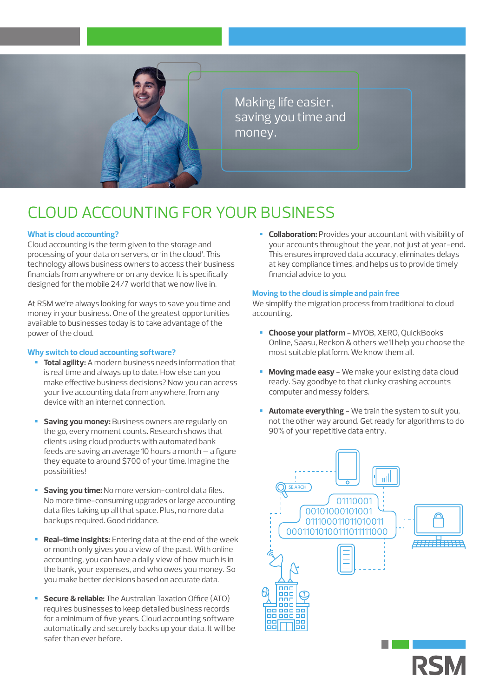

Making life easier, saving you time and money.

# CLOUD ACCOUNTING FOR YOUR BUSINESS

### **What is cloud accounting?**

Cloud accounting is the term given to the storage and processing of your data on servers, or 'in the cloud'. This technology allows business owners to access their business financials from anywhere or on any device. It is specifically designed for the mobile 24/7 world that we now live in.

At RSM we're always looking for ways to save you time and money in your business. One of the greatest opportunities available to businesses today is to take advantage of the power of the cloud.

### **Why switch to cloud accounting software?**

- **Total agility:** A modern business needs information that is real time and always up to date. How else can you make effective business decisions? Now you can access your live accounting data from anywhere, from any device with an internet connection.
- **Saving you money:** Business owners are regularly on the go, every moment counts. Research shows that clients using cloud products with automated bank feeds are saving an average 10 hours a month – a figure they equate to around \$700 of your time. Imagine the possibilities!
- **Saving you time:** No more version-control data files. No more time-consuming upgrades or large accounting data files taking up all that space. Plus, no more data backups required. Good riddance.
- **Real-time insights:** Entering data at the end of the week or month only gives you a view of the past. With online accounting, you can have a daily view of how much is in the bank, your expenses, and who owes you money. So you make better decisions based on accurate data.
- **Secure & reliable:** The Australian Taxation Office (ATO) requires businesses to keep detailed business records for a minimum of five years. Cloud accounting software automatically and securely backs up your data. It will be safer than ever before.

**Collaboration:** Provides your accountant with visibility of your accounts throughout the year, not just at year-end. This ensures improved data accuracy, eliminates delays at key compliance times, and helps us to provide timely financial advice to you.

### **Moving to the cloud is simple and pain free**

We simplify the migration process from traditional to cloud accounting.

- **Choose your platform** MYOB, XERO, QuickBooks Online, Saasu, Reckon & others we'll help you choose the most suitable platform. We know them all.
- **Moving made easy** We make your existing data cloud ready. Say goodbye to that clunky crashing accounts computer and messy folders.
- **Automate everything** We train the system to suit you, not the other way around. Get ready for algorithms to do 90% of your repetitive data entry.



**RSK**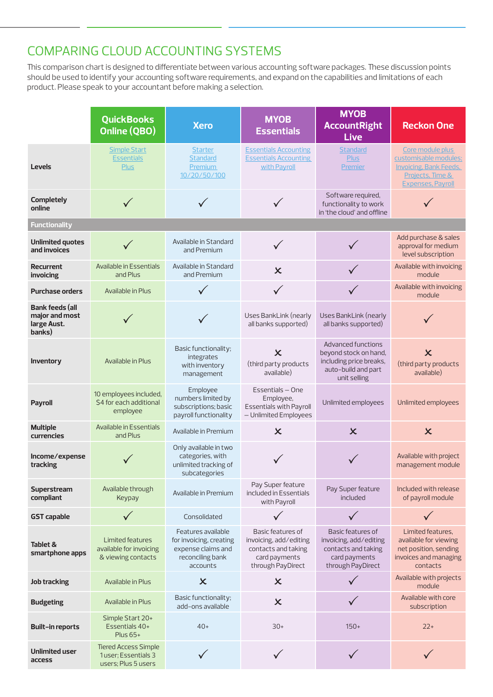## COMPARING CLOUD ACCOUNTING SYSTEMS

This comparison chart is designed to differentiate between various accounting software packages. These discussion points should be used to identify your accounting software requirements, and expand on the capabilities and limitations of each product. Please speak to your accountant before making a selection.

|                                                                   | <b>QuickBooks</b><br>Online (QBO)                                         | <b>Xero</b>                                                                                         | <b>MYOB</b><br><b>Essentials</b>                                                                         | <b>MYOB</b><br><b>AccountRight</b><br><b>Live</b>                                                             | <b>Reckon One</b>                                                                                                          |  |  |  |  |
|-------------------------------------------------------------------|---------------------------------------------------------------------------|-----------------------------------------------------------------------------------------------------|----------------------------------------------------------------------------------------------------------|---------------------------------------------------------------------------------------------------------------|----------------------------------------------------------------------------------------------------------------------------|--|--|--|--|
| <b>Levels</b>                                                     | <b>Simple Start</b><br><b>Essentials</b><br><b>Plus</b>                   | <b>Starter</b><br>Standard<br><b>Premium</b><br>10/20/50/100                                        | <b>Essentials Accounting</b><br><b>Essentials Accounting</b><br>with Payroll                             | <b>Standard</b><br><b>Plus</b><br>Premier                                                                     | Core module plus<br>customisable modules;<br><b>Invoicing, Bank Feeds,</b><br>Projects, Time &<br><b>Expenses, Payroll</b> |  |  |  |  |
| <b>Completely</b><br>online                                       |                                                                           |                                                                                                     |                                                                                                          | Software required,<br>functionality to work<br>in 'the cloud' and offline                                     |                                                                                                                            |  |  |  |  |
| <b>Functionality</b>                                              |                                                                           |                                                                                                     |                                                                                                          |                                                                                                               |                                                                                                                            |  |  |  |  |
| <b>Unlimited quotes</b><br>and invoices                           |                                                                           | Available in Standard<br>and Premium                                                                |                                                                                                          |                                                                                                               | Add purchase & sales<br>approval for medium<br>level subscription                                                          |  |  |  |  |
| <b>Recurrent</b><br>invoicing                                     | Available in Essentials<br>and Plus                                       | Available in Standard<br>and Premium                                                                | $\overline{\mathsf{x}}$                                                                                  |                                                                                                               | Available with invoicing<br>module                                                                                         |  |  |  |  |
| <b>Purchase orders</b>                                            | Available in Plus                                                         |                                                                                                     |                                                                                                          |                                                                                                               | Available with invoicing<br>module                                                                                         |  |  |  |  |
| <b>Bank feeds (all</b><br>major and most<br>large Aust.<br>banks) |                                                                           |                                                                                                     | Uses BankLink (nearly<br>all banks supported)                                                            | Uses BankLink (nearly<br>all banks supported)                                                                 |                                                                                                                            |  |  |  |  |
| Inventory                                                         | Available in Plus                                                         | Basic functionality;<br>integrates<br>with inventory<br>management                                  | $\boldsymbol{\mathsf{x}}$<br>(third party products<br>available)                                         | Advanced functions<br>beyond stock on hand,<br>including price breaks,<br>auto-build and part<br>unit selling | $\overline{\mathsf{x}}$<br>(third party products<br>available)                                                             |  |  |  |  |
| <b>Payroll</b>                                                    | 10 employees included,<br>\$4 for each additional<br>employee             | Employee<br>numbers limited by<br>subscriptions; basic<br>payroll functionality                     | Essentials - One<br>Employee,<br><b>Essentials with Payroll</b><br>- Unlimited Employees                 | Unlimited employees                                                                                           | Unlimited employees                                                                                                        |  |  |  |  |
| <b>Multiple</b><br><b>currencies</b>                              | Available in Essentials<br>and Plus                                       | Available in Premium                                                                                | $\boldsymbol{\mathsf{x}}$                                                                                | $\boldsymbol{\mathsf{x}}$                                                                                     | $\boldsymbol{\mathsf{x}}$                                                                                                  |  |  |  |  |
| Income/expense<br>tracking                                        |                                                                           | Only available in two<br>categories, with<br>unlimited tracking of<br>subcategories                 |                                                                                                          |                                                                                                               | Available with project<br>management module                                                                                |  |  |  |  |
| Superstream<br>compliant                                          | Available through<br>Keypay                                               | Available in Premium                                                                                | Pay Super feature<br>included in Essentials<br>with Payroll                                              | Pay Super feature<br>included                                                                                 | Included with release<br>of payroll module                                                                                 |  |  |  |  |
| <b>GST capable</b>                                                |                                                                           | Consolidated                                                                                        |                                                                                                          |                                                                                                               |                                                                                                                            |  |  |  |  |
| Tablet &<br>smartphone apps                                       | Limited features<br>available for invoicing<br>& viewing contacts         | Features available<br>for invoicing, creating<br>expense claims and<br>reconciling bank<br>accounts | Basic features of<br>invoicing, add/editing<br>contacts and taking<br>card payments<br>through PayDirect | Basic features of<br>invoicing, add/editing<br>contacts and taking<br>card payments<br>through PayDirect      | Limited features.<br>available for viewing<br>net position, sending<br>invoices and managing<br>contacts                   |  |  |  |  |
| <b>Job tracking</b>                                               | Available in Plus                                                         | $\boldsymbol{\mathsf{x}}$                                                                           | $\boldsymbol{\mathsf{x}}$                                                                                |                                                                                                               | Available with projects<br>module                                                                                          |  |  |  |  |
| <b>Budgeting</b>                                                  | Available in Plus                                                         | Basic functionality;<br>add-ons available                                                           | $\overline{\mathsf{x}}$                                                                                  |                                                                                                               | Available with core<br>subscription                                                                                        |  |  |  |  |
| <b>Built-in reports</b>                                           | Simple Start 20+<br>Essentials 40+<br>Plus 65+                            | $40+$                                                                                               | $30+$                                                                                                    | $150+$                                                                                                        | $22+$                                                                                                                      |  |  |  |  |
| Unlimited user<br>access                                          | <b>Tiered Access Simple</b><br>1user; Essentials 3<br>users; Plus 5 users |                                                                                                     |                                                                                                          |                                                                                                               |                                                                                                                            |  |  |  |  |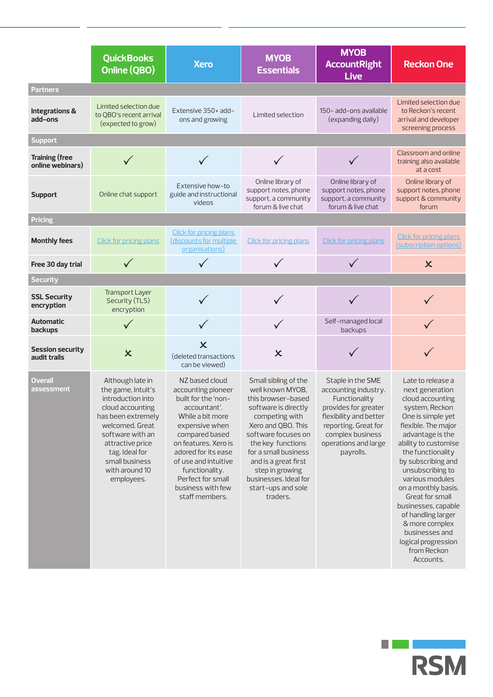|                                           | <b>QuickBooks</b><br>Online (QBO)                                                                                                                                                                                                    | <b>Xero</b>                                                                                                                                                                                                                                                                              | <b>MYOB</b><br><b>Essentials</b>                                                                                                                                                                                                                                                                         | <b>MYOB</b><br><b>AccountRight</b><br><b>Live</b>                                                                                                                                             | <b>Reckon One</b>                                                                                                                                                                                                                                                                                                                                                                                                                  |  |  |  |
|-------------------------------------------|--------------------------------------------------------------------------------------------------------------------------------------------------------------------------------------------------------------------------------------|------------------------------------------------------------------------------------------------------------------------------------------------------------------------------------------------------------------------------------------------------------------------------------------|----------------------------------------------------------------------------------------------------------------------------------------------------------------------------------------------------------------------------------------------------------------------------------------------------------|-----------------------------------------------------------------------------------------------------------------------------------------------------------------------------------------------|------------------------------------------------------------------------------------------------------------------------------------------------------------------------------------------------------------------------------------------------------------------------------------------------------------------------------------------------------------------------------------------------------------------------------------|--|--|--|
| <b>Partners</b>                           |                                                                                                                                                                                                                                      |                                                                                                                                                                                                                                                                                          |                                                                                                                                                                                                                                                                                                          |                                                                                                                                                                                               |                                                                                                                                                                                                                                                                                                                                                                                                                                    |  |  |  |
| <b>Integrations &amp;</b><br>add-ons      | Limited selection due<br>to QBO's recent arrival<br>(expected to grow)                                                                                                                                                               | Extensive 350+ add-<br>ons and growing                                                                                                                                                                                                                                                   | Limited selection                                                                                                                                                                                                                                                                                        | 150- add-ons available<br>(expanding daily)                                                                                                                                                   | Limited selection due<br>to Reckon's recent<br>arrival and developer<br>screening process                                                                                                                                                                                                                                                                                                                                          |  |  |  |
| <b>Support</b>                            |                                                                                                                                                                                                                                      |                                                                                                                                                                                                                                                                                          |                                                                                                                                                                                                                                                                                                          |                                                                                                                                                                                               |                                                                                                                                                                                                                                                                                                                                                                                                                                    |  |  |  |
| <b>Training (free</b><br>online webinars) |                                                                                                                                                                                                                                      |                                                                                                                                                                                                                                                                                          |                                                                                                                                                                                                                                                                                                          |                                                                                                                                                                                               | Classroom and online<br>training also available<br>at a cost                                                                                                                                                                                                                                                                                                                                                                       |  |  |  |
| <b>Support</b>                            | Online chat support                                                                                                                                                                                                                  | Extensive how-to<br>guide and instructional<br>videos                                                                                                                                                                                                                                    | Online library of<br>support notes, phone<br>support, a community<br>forum & live chat                                                                                                                                                                                                                   | Online library of<br>support notes, phone<br>support, a community<br>forum & live chat                                                                                                        | Online library of<br>support notes, phone<br>support & community<br>forum                                                                                                                                                                                                                                                                                                                                                          |  |  |  |
| <b>Pricing</b>                            |                                                                                                                                                                                                                                      |                                                                                                                                                                                                                                                                                          |                                                                                                                                                                                                                                                                                                          |                                                                                                                                                                                               |                                                                                                                                                                                                                                                                                                                                                                                                                                    |  |  |  |
| <b>Monthly fees</b>                       | <b>Click for pricing plans</b>                                                                                                                                                                                                       | <b>Click for pricing plans</b><br>(discounts for multiple<br>organisations)                                                                                                                                                                                                              | <b>Click for pricing plans</b>                                                                                                                                                                                                                                                                           | <b>Click for pricing plans</b>                                                                                                                                                                | <b>Click for pricing plans</b><br>(subscription options)                                                                                                                                                                                                                                                                                                                                                                           |  |  |  |
| Free 30 day trial                         |                                                                                                                                                                                                                                      |                                                                                                                                                                                                                                                                                          |                                                                                                                                                                                                                                                                                                          |                                                                                                                                                                                               | $\overline{\mathsf{x}}$                                                                                                                                                                                                                                                                                                                                                                                                            |  |  |  |
| <b>Security</b>                           |                                                                                                                                                                                                                                      |                                                                                                                                                                                                                                                                                          |                                                                                                                                                                                                                                                                                                          |                                                                                                                                                                                               |                                                                                                                                                                                                                                                                                                                                                                                                                                    |  |  |  |
| <b>SSL Security</b><br>encryption         | <b>Transport Layer</b><br>Security (TLS)<br>encryption                                                                                                                                                                               |                                                                                                                                                                                                                                                                                          |                                                                                                                                                                                                                                                                                                          |                                                                                                                                                                                               |                                                                                                                                                                                                                                                                                                                                                                                                                                    |  |  |  |
| <b>Automatic</b><br>backups               |                                                                                                                                                                                                                                      |                                                                                                                                                                                                                                                                                          |                                                                                                                                                                                                                                                                                                          | Self-managed local<br>backups                                                                                                                                                                 |                                                                                                                                                                                                                                                                                                                                                                                                                                    |  |  |  |
| <b>Session security</b><br>audit trails   | $\boldsymbol{\mathsf{x}}$                                                                                                                                                                                                            | $\mathbf x$<br>(deleted transactions<br>can be viewed)                                                                                                                                                                                                                                   | $\overline{\mathsf{x}}$                                                                                                                                                                                                                                                                                  |                                                                                                                                                                                               |                                                                                                                                                                                                                                                                                                                                                                                                                                    |  |  |  |
| Overall<br>assessment                     | Although late in<br>the game, Intuit's<br>introduction into<br>cloud accounting<br>has been extremely<br>welcomed. Great<br>software with an<br>attractive price<br>tag. Ideal for<br>small business<br>with around 10<br>employees. | NZ based cloud<br>accounting pioneer<br>built for the 'non-<br>accountant'.<br>While a bit more<br>expensive when<br>compared based<br>on features, Xero is<br>adored for its ease<br>of use and intuitive<br>functionality.<br>Perfect for small<br>business with few<br>staff members. | Small sibling of the<br>well known MYOB,<br>this browser-based<br>software is directly<br>competing with<br>Xero and QBO. This<br>software focuses on<br>the key functions<br>for a small business<br>and is a great first<br>step in growing<br>businesses. Ideal for<br>start-ups and sole<br>traders. | Staple in the SME<br>accounting industry.<br>Functionality<br>provides for greater<br>flexibility and better<br>reporting. Great for<br>complex business<br>operations and large<br>payrolls. | Late to release a<br>next generation<br>cloud accounting<br>system, Reckon<br>One is simple yet<br>flexible. The major<br>advantage is the<br>ability to customise<br>the functionality<br>by subscribing and<br>unsubscribing to<br>various modules<br>on a monthly basis.<br>Great for small<br>businesses, capable<br>of handling larger<br>& more complex<br>businesses and<br>logical progression<br>from Reckon<br>Accounts. |  |  |  |